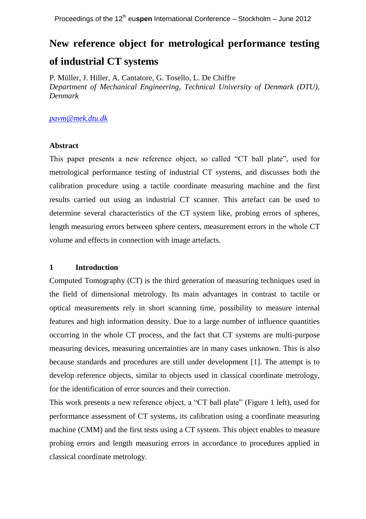# **New reference object for metrological performance testing of industrial CT systems**

P. Müller, J. Hiller, A. Cantatore, G. Tosello, L. De Chiffre *Department of Mechanical Engineering, Technical University of Denmark (DTU), Denmark*

## *[pavm@mek.dtu.dk](mailto:pavm@mek.dtu.dk)*

## **Abstract**

This paper presents a new reference object, so called "CT ball plate", used for metrological performance testing of industrial CT systems, and discusses both the calibration procedure using a tactile coordinate measuring machine and the first results carried out using an industrial CT scanner. This artefact can be used to determine several characteristics of the CT system like, probing errors of spheres, length measuring errors between sphere centers, measurement errors in the whole CT volume and effects in connection with image artefacts.

## **1 Introduction**

Computed Tomography (CT) is the third generation of measuring techniques used in the field of dimensional metrology. Its main advantages in contrast to tactile or optical measurements rely in short scanning time, possibility to measure internal features and high information density. Due to a large number of influence quantities occurring in the whole CT process, and the fact that CT systems are multi-purpose measuring devices, measuring uncertainties are in many cases unknown. This is also because standards and procedures are still under development [1]. The attempt is to develop reference objects, similar to objects used in classical coordinate metrology, for the identification of error sources and their correction.

This work presents a new reference object, a "CT ball plate" (Figure 1 left), used for performance assessment of CT systems, its calibration using a coordinate measuring machine (CMM) and the first tests using a CT system. This object enables to measure probing errors and length measuring errors in accordance to procedures applied in classical coordinate metrology.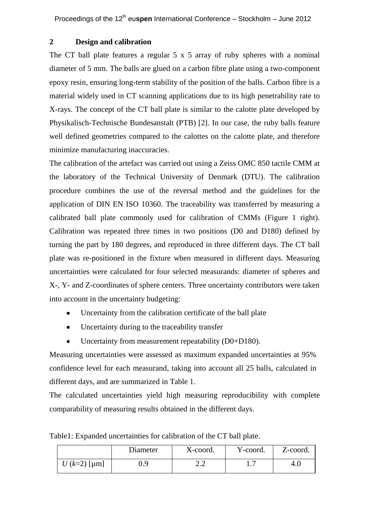# **2 Design and calibration**

The CT ball plate features a regular 5 x 5 array of ruby spheres with a nominal diameter of 5 mm. The balls are glued on a carbon fibre plate using a two-component epoxy resin, ensuring long-term stability of the position of the balls. Carbon fibre is a material widely used in CT scanning applications due to its high penetrability rate to X-rays. The concept of the CT ball plate is similar to the calotte plate developed by Physikalisch-Technische Bundesanstalt (PTB) [2]. In our case, the ruby balls feature well defined geometries compared to the calottes on the calotte plate, and therefore minimize manufacturing inaccuracies.

The calibration of the artefact was carried out using a Zeiss OMC 850 tactile CMM at the laboratory of the Technical University of Denmark (DTU). The calibration procedure combines the use of the reversal method and the guidelines for the application of DIN EN ISO 10360. The traceability was transferred by measuring a calibrated ball plate commonly used for calibration of CMMs (Figure 1 right). Calibration was repeated three times in two positions (D0 and D180) defined by turning the part by 180 degrees, and reproduced in three different days. The CT ball plate was re-positioned in the fixture when measured in different days. Measuring uncertainties were calculated for four selected measurands: diameter of spheres and X-, Y- and Z-coordinates of sphere centers. Three uncertainty contributors were taken into account in the uncertainty budgeting:

- Uncertainty from the calibration certificate of the ball plate
- $\bullet$ Uncertainty during to the traceability transfer
- Uncertainty from measurement repeatability (D0+D180).

Measuring uncertainties were assessed as maximum expanded uncertainties at 95% confidence level for each measurand, taking into account all 25 balls, calculated in different days, and are summarized in Table 1.

The calculated uncertainties yield high measuring reproducibility with complete comparability of measuring results obtained in the different days.

|               | Diameter | X-coord. | Y-coord. | Z-coord. |
|---------------|----------|----------|----------|----------|
| $U(k=2)$ [µm] | 0.9      | -⊶       |          | 4.0      |

Table1: Expanded uncertainties for calibration of the CT ball plate.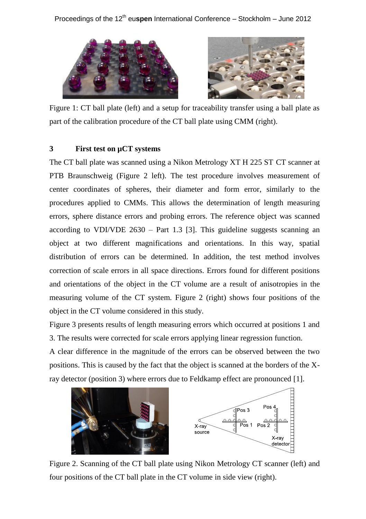

Figure 1: CT ball plate (left) and a setup for traceability transfer using a ball plate as part of the calibration procedure of the CT ball plate using CMM (right).

# **3 First test on µCT systems**

The CT ball plate was scanned using a Nikon Metrology XT H 225 ST CT scanner at PTB Braunschweig (Figure 2 left). The test procedure involves measurement of center coordinates of spheres, their diameter and form error, similarly to the procedures applied to CMMs. This allows the determination of length measuring errors, sphere distance errors and probing errors. The reference object was scanned according to VDI/VDE 2630 – Part 1.3 [3]. This guideline suggests scanning an object at two different magnifications and orientations. In this way, spatial distribution of errors can be determined. In addition, the test method involves correction of scale errors in all space directions. Errors found for different positions and orientations of the object in the CT volume are a result of anisotropies in the measuring volume of the CT system. Figure 2 (right) shows four positions of the object in the CT volume considered in this study.

Figure 3 presents results of length measuring errors which occurred at positions 1 and 3. The results were corrected for scale errors applying linear regression function.

A clear difference in the magnitude of the errors can be observed between the two positions. This is caused by the fact that the object is scanned at the borders of the Xray detector (position 3) where errors due to Feldkamp effect are pronounced [1].



Figure 2. Scanning of the CT ball plate using Nikon Metrology CT scanner (left) and four positions of the CT ball plate in the CT volume in side view (right).